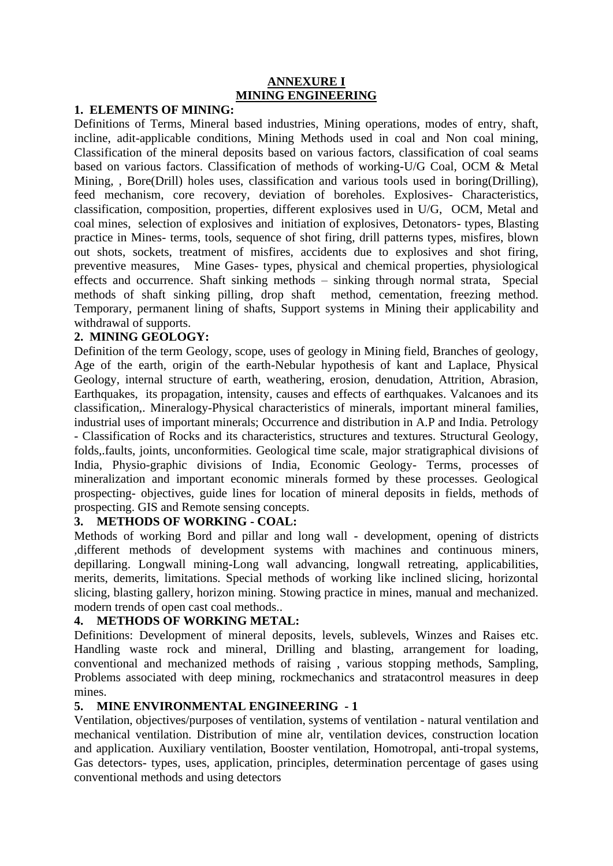### **ANNEXURE I MINING ENGINEERING**

## **1. ELEMENTS OF MINING:**

Definitions of Terms, Mineral based industries, Mining operations, modes of entry, shaft, incline, adit-applicable conditions, Mining Methods used in coal and Non coal mining, Classification of the mineral deposits based on various factors, classification of coal seams based on various factors. Classification of methods of working-U/G Coal, OCM & Metal Mining, , Bore(Drill) holes uses, classification and various tools used in boring(Drilling), feed mechanism, core recovery, deviation of boreholes. Explosives- Characteristics, classification, composition, properties, different explosives used in U/G, OCM, Metal and coal mines, selection of explosives and initiation of explosives, Detonators- types, Blasting practice in Mines- terms, tools, sequence of shot firing, drill patterns types, misfires, blown out shots, sockets, treatment of misfires, accidents due to explosives and shot firing, preventive measures, Mine Gases- types, physical and chemical properties, physiological effects and occurrence. Shaft sinking methods – sinking through normal strata, Special methods of shaft sinking pilling, drop shaft method, cementation, freezing method. Temporary, permanent lining of shafts, Support systems in Mining their applicability and withdrawal of supports.

### **2. MINING GEOLOGY:**

Definition of the term Geology, scope, uses of geology in Mining field, Branches of geology, Age of the earth, origin of the earth-Nebular hypothesis of kant and Laplace, Physical Geology, internal structure of earth, weathering, erosion, denudation, Attrition, Abrasion, Earthquakes, its propagation, intensity, causes and effects of earthquakes. Valcanoes and its classification,. Mineralogy-Physical characteristics of minerals, important mineral families, industrial uses of important minerals; Occurrence and distribution in A.P and India. Petrology - Classification of Rocks and its characteristics, structures and textures. Structural Geology, folds,.faults, joints, unconformities. Geological time scale, major stratigraphical divisions of India, Physio-graphic divisions of India, Economic Geology- Terms, processes of mineralization and important economic minerals formed by these processes. Geological prospecting- objectives, guide lines for location of mineral deposits in fields, methods of prospecting. GIS and Remote sensing concepts.

# **3. METHODS OF WORKING - COAL:**

Methods of working Bord and pillar and long wall - development, opening of districts ,different methods of development systems with machines and continuous miners, depillaring. Longwall mining-Long wall advancing, longwall retreating, applicabilities, merits, demerits, limitations. Special methods of working like inclined slicing, horizontal slicing, blasting gallery, horizon mining. Stowing practice in mines, manual and mechanized. modern trends of open cast coal methods..

# **4. METHODS OF WORKING METAL:**

Definitions: Development of mineral deposits, levels, sublevels, Winzes and Raises etc. Handling waste rock and mineral, Drilling and blasting, arrangement for loading, conventional and mechanized methods of raising , various stopping methods, Sampling, Problems associated with deep mining, rockmechanics and stratacontrol measures in deep mines.

# **5. MINE ENVIRONMENTAL ENGINEERING - 1**

Ventilation, objectives/purposes of ventilation, systems of ventilation - natural ventilation and mechanical ventilation. Distribution of mine alr, ventilation devices, construction location and application. Auxiliary ventilation, Booster ventilation, Homotropal, anti-tropal systems, Gas detectors- types, uses, application, principles, determination percentage of gases using conventional methods and using detectors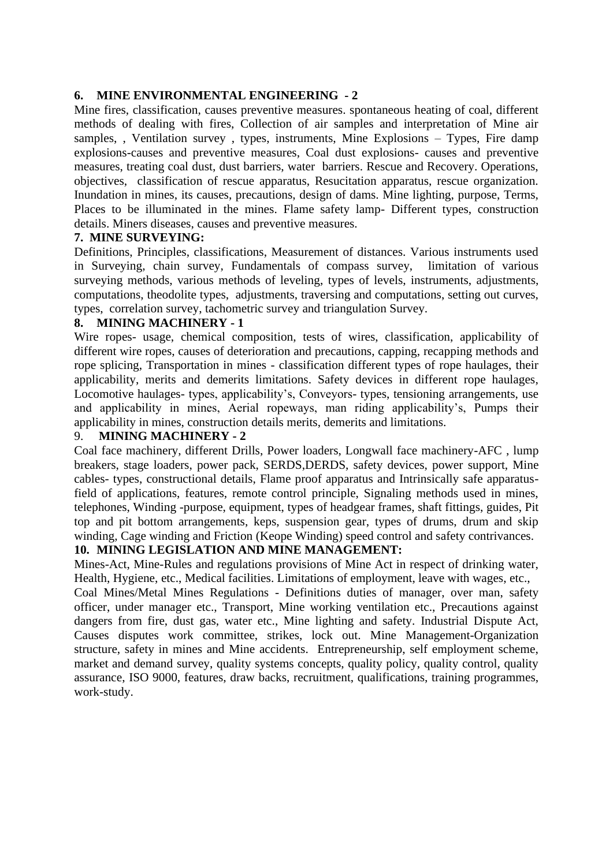#### **6. MINE ENVIRONMENTAL ENGINEERING - 2**

Mine fires, classification, causes preventive measures. spontaneous heating of coal, different methods of dealing with fires, Collection of air samples and interpretation of Mine air samples, , Ventilation survey , types, instruments, Mine Explosions – Types, Fire damp explosions-causes and preventive measures, Coal dust explosions- causes and preventive measures, treating coal dust, dust barriers, water barriers. Rescue and Recovery. Operations, objectives, classification of rescue apparatus, Resucitation apparatus, rescue organization. Inundation in mines, its causes, precautions, design of dams. Mine lighting, purpose, Terms, Places to be illuminated in the mines. Flame safety lamp- Different types, construction details. Miners diseases, causes and preventive measures.

#### **7. MINE SURVEYING:**

Definitions, Principles, classifications, Measurement of distances. Various instruments used in Surveying, chain survey, Fundamentals of compass survey, limitation of various surveying methods, various methods of leveling, types of levels, instruments, adjustments, computations, theodolite types, adjustments, traversing and computations, setting out curves, types, correlation survey, tachometric survey and triangulation Survey.

#### **8. MINING MACHINERY - 1**

Wire ropes- usage, chemical composition, tests of wires, classification, applicability of different wire ropes, causes of deterioration and precautions, capping, recapping methods and rope splicing, Transportation in mines - classification different types of rope haulages, their applicability, merits and demerits limitations. Safety devices in different rope haulages, Locomotive haulages- types, applicability's, Conveyors- types, tensioning arrangements, use and applicability in mines, Aerial ropeways, man riding applicability's, Pumps their applicability in mines, construction details merits, demerits and limitations.

#### 9. **MINING MACHINERY - 2**

Coal face machinery, different Drills, Power loaders, Longwall face machinery-AFC , lump breakers, stage loaders, power pack, SERDS,DERDS, safety devices, power support, Mine cables- types, constructional details, Flame proof apparatus and Intrinsically safe apparatusfield of applications, features, remote control principle, Signaling methods used in mines, telephones, Winding -purpose, equipment, types of headgear frames, shaft fittings, guides, Pit top and pit bottom arrangements, keps, suspension gear, types of drums, drum and skip winding, Cage winding and Friction (Keope Winding) speed control and safety contrivances.

### **10. MINING LEGISLATION AND MINE MANAGEMENT:**

Mines-Act, Mine-Rules and regulations provisions of Mine Act in respect of drinking water, Health, Hygiene, etc., Medical facilities. Limitations of employment, leave with wages, etc.,

Coal Mines/Metal Mines Regulations - Definitions duties of manager, over man, safety officer, under manager etc., Transport, Mine working ventilation etc., Precautions against dangers from fire, dust gas, water etc., Mine lighting and safety. Industrial Dispute Act, Causes disputes work committee, strikes, lock out. Mine Management-Organization structure, safety in mines and Mine accidents. Entrepreneurship, self employment scheme, market and demand survey, quality systems concepts, quality policy, quality control, quality assurance, ISO 9000, features, draw backs, recruitment, qualifications, training programmes, work-study.